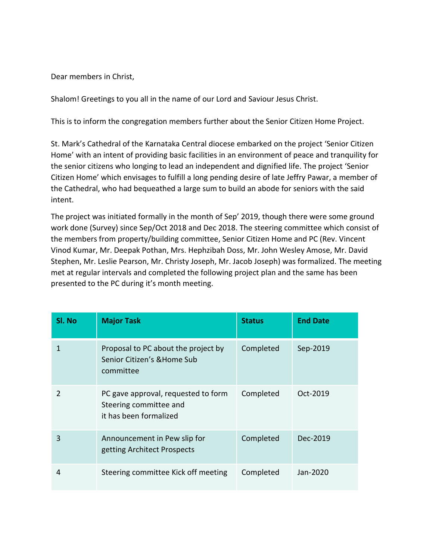Dear members in Christ,

Shalom! Greetings to you all in the name of our Lord and Saviour Jesus Christ.

This is to inform the congregation members further about the Senior Citizen Home Project.

St. Mark's Cathedral of the Karnataka Central diocese embarked on the project 'Senior Citizen Home' with an intent of providing basic facilities in an environment of peace and tranquility for the senior citizens who longing to lead an independent and dignified life. The project 'Senior Citizen Home' which envisages to fulfill a long pending desire of late Jeffry Pawar, a member of the Cathedral, who had bequeathed a large sum to build an abode for seniors with the said intent.

The project was initiated formally in the month of Sep' 2019, though there were some ground work done (Survey) since Sep/Oct 2018 and Dec 2018. The steering committee which consist of the members from property/building committee, Senior Citizen Home and PC (Rev. Vincent Vinod Kumar, Mr. Deepak Pothan, Mrs. Hephzibah Doss, Mr. John Wesley Amose, Mr. David Stephen, Mr. Leslie Pearson, Mr. Christy Joseph, Mr. Jacob Joseph) was formalized. The meeting met at regular intervals and completed the following project plan and the same has been presented to the PC during it's month meeting.

| Sl. No        | <b>Major Task</b>                                                                       | <b>Status</b> | <b>End Date</b> |
|---------------|-----------------------------------------------------------------------------------------|---------------|-----------------|
| 1             | Proposal to PC about the project by<br>Senior Citizen's & Home Sub<br>committee         | Completed     | Sep-2019        |
| $\mathcal{P}$ | PC gave approval, requested to form<br>Steering committee and<br>it has been formalized | Completed     | Oct-2019        |
| 3             | Announcement in Pew slip for<br>getting Architect Prospects                             | Completed     | Dec-2019        |
| 4             | Steering committee Kick off meeting                                                     | Completed     | Jan-2020        |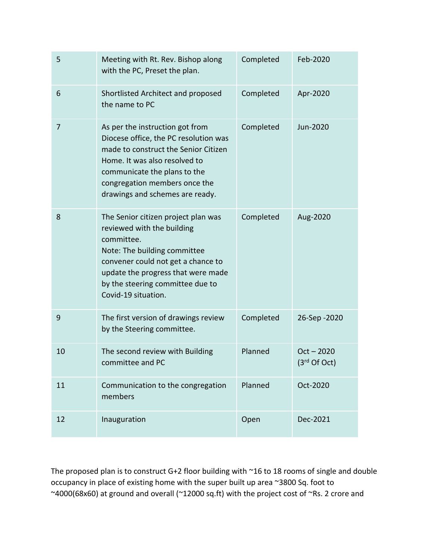| 5  | Meeting with Rt. Rev. Bishop along<br>with the PC, Preset the plan.                                                                                                                                                                                    | Completed | Feb-2020                       |
|----|--------------------------------------------------------------------------------------------------------------------------------------------------------------------------------------------------------------------------------------------------------|-----------|--------------------------------|
| 6  | Shortlisted Architect and proposed<br>the name to PC                                                                                                                                                                                                   | Completed | Apr-2020                       |
| 7  | As per the instruction got from<br>Diocese office, the PC resolution was<br>made to construct the Senior Citizen<br>Home. It was also resolved to<br>communicate the plans to the<br>congregation members once the<br>drawings and schemes are ready.  | Completed | Jun-2020                       |
| 8  | The Senior citizen project plan was<br>reviewed with the building<br>committee.<br>Note: The building committee<br>convener could not get a chance to<br>update the progress that were made<br>by the steering committee due to<br>Covid-19 situation. | Completed | Aug-2020                       |
| 9  | The first version of drawings review<br>by the Steering committee.                                                                                                                                                                                     | Completed | 26-Sep - 2020                  |
| 10 | The second review with Building<br>committee and PC                                                                                                                                                                                                    | Planned   | $Oct - 2020$<br>$(3rd$ Of Oct) |
| 11 | Communication to the congregation<br>members                                                                                                                                                                                                           | Planned   | Oct-2020                       |
| 12 | Inauguration                                                                                                                                                                                                                                           | Open      | Dec-2021                       |

The proposed plan is to construct G+2 floor building with ~16 to 18 rooms of single and double occupancy in place of existing home with the super built up area ~3800 Sq. foot to ~4000(68x60) at ground and overall (~12000 sq.ft) with the project cost of ~Rs. 2 crore and